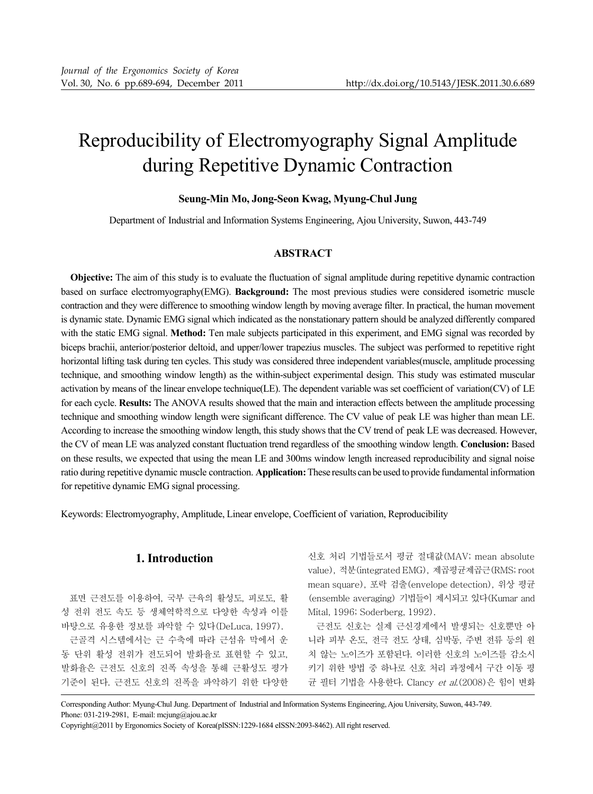# Reproducibility of Electromyography Signal Amplitude during Repetitive Dynamic Contraction

## **Seung-Min Mo, Jong-Seon Kwag, Myung-Chul Jung**

Department of Industrial and Information Systems Engineering, Ajou University, Suwon, 443-749

# **ABSTRACT**

**Objective:** The aim of this study is to evaluate the fluctuation of signal amplitude during repetitive dynamic contraction based on surface electromyography(EMG). **Background:** The most previous studies were considered isometric muscle contraction and they were difference to smoothing window length by moving average filter. In practical, the human movement is dynamic state. Dynamic EMG signal which indicated as the nonstationary pattern should be analyzed differently compared with the static EMG signal. **Method:** Ten male subjects participated in this experiment, and EMG signal was recorded by biceps brachii, anterior/posterior deltoid, and upper/lower trapezius muscles. The subject was performed to repetitive right horizontal lifting task during ten cycles. This study was considered three independent variables(muscle, amplitude processing technique, and smoothing window length) as the within-subject experimental design. This study was estimated muscular activation by means of the linear envelope technique(LE). The dependent variable was set coefficient of variation(CV) of LE for each cycle. **Results:** The ANOVA results showed that the main and interaction effects between the amplitude processing technique and smoothing window length were significant difference. The CV value of peak LE was higher than mean LE. According to increase the smoothing window length, this study shows that the CV trend of peak LE was decreased. However, the CV of mean LE was analyzed constant fluctuation trend regardless of the smoothing window length. **Conclusion:** Based on these results, we expected that using the mean LE and 300ms window length increased reproducibility and signal noise ratio during repetitive dynamic muscle contraction. **Application:** These results can be used to provide fundamental information for repetitive dynamic EMG signal processing.

Keywords: Electromyography, Amplitude, Linear envelope, Coefficient of variation, Reproducibility

# **1. Introduction**

표면 근전도를 이용하여, 국부 근육의 활성도, 피로도, 활 성 전위 전도 속도 등 생체역학적으로 다양한 속성과 이를 바탕으로 유용한 정보를 파악할 수 있다(DeLuca, 1997).

근골격 시스템에서는 근 수축에 따라 근섬유 막에서 운 동 단위 활성 전위가 전도되어 발화율로 표현할 수 있고, 발화율은 근전도 신호의 진폭 속성을 통해 근활성도 평가 기준이 된다. 근전도 신호의 진폭을 파악하기 위한 다양한

신호 처리 기법들로서 평균 절대값(MAV; mean absolute value), 적분(integrated EMG), 제곱평균제곱근(RMS; root mean square), 포락 검출(envelope detection), 위상 평균 (ensemble averaging) 기법들이 제시되고 있다(Kumar and Mital, 1996; Soderberg, 1992).

근전도 신호는 실제 근신경계에서 발생되는 신호뿐만 아 니라 피부 온도, 전극 전도 상태, 심박동, 주변 전류 등의 원 치 않는 노이즈가 포함된다. 이러한 신호의 노이즈를 감소시 키기 위한 방법 중 하나로 신호 처리 과정에서 구간 이동 평 균 필터 기법을 사용한다. Clancy et al.(2008)은 힘이 변화

Corresponding Author: Myung-Chul Jung. Department of Industrial and Information Systems Engineering, Ajou University, Suwon, 443-749. Phone: 031-219-2981, E-mail: mcjung@ajou.ac.kr

Copyright@2011 by Ergonomics Society of Korea(pISSN:1229-1684 eISSN:2093-8462). All right reserved.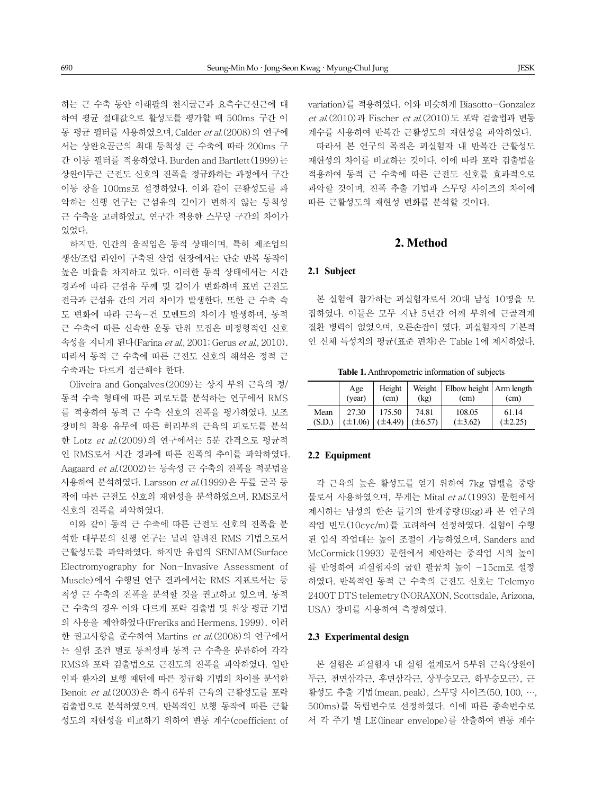하는 근 수축 동안 아래팔의 천지굴근과 요측수근신근에 대 하여 평균 절대값으로 활성도를 평가할 때 500ms 구간 이 동 평균 필터를 사용하였으며, Calder et al.(2008)의 연구에 서는 상완요골근의 최대 등척성 근 수축에 따라 200ms 구 간 이동 필터를 적용하였다. Burden and Bartlett(1999)는 상완이두근 근전도 신호의 진폭을 정규화하는 과정에서 구간 이동 창을 100ms로 설정하였다. 이와 같이 근활성도를 파 악하는 선행 연구는 근섬유의 길이가 변하지 않는 등척성 근 수축을 고려하였고, 연구간 적용한 스무딩 구간의 차이가 있었다.

하지만, 인간의 움직임은 동적 상태이며, 특히 제조업의 생산/조립 라인이 구축된 산업 현장에서는 단순 반복 동작이 높은 비율을 차지하고 있다. 이러한 동적 상태에서는 시간 경과에 따라 근섬유 두께 및 길이가 변화하며 표면 근전도 전극과 근섬유 간의 거리 차이가 발생한다. 또한 근 수축 속 도 변화에 따라 근육-건 모멘트의 차이가 발생하며, 동적 근 수축에 따른 신속한 운동 단위 모집은 비정형적인 신호 속성을 지니게 된다(Farina et al., 2001; Gerus et al., 2010). 따라서 동적 근 수축에 따른 근전도 신호의 해석은 정적 근 수축과는 다르게 접근해야 한다.

Oliveira and Gonçalves(2009)는 상지 부위 근육의 정/ 동적 수축 형태에 따른 피로도를 분석하는 연구에서 RMS 를 적용하여 동적 근 수축 신호의 진폭을 평가하였다. 보조 장비의 착용 유무에 따른 허리부위 근육의 피로도를 분석 한 Lotz et al.(2009)의 연구에서는 5분 간격으로 평균적 인 RMS로서 시간 경과에 따른 진폭의 추이를 파악하였다. Aagaard et al.(2002)는 등속성 근 수축의 진폭을 적분법을 사용하여 분석하였다. Larsson et al.(1999)은 무릎 굴곡 동 작에 따른 근전도 신호의 재현성을 분석하였으며, RMS로서 신호의 진폭을 파악하였다.

이와 같이 동적 근 수축에 따른 근전도 신호의 진폭을 분 석한 대부분의 선행 연구는 널리 알려진 RMS 기법으로서 근활성도를 파악하였다. 하지만 유럽의 SENIAM(Surface Electromyography for Non-Invasive Assessment of Muscle)에서 수행된 연구 결과에서는 RMS 지표로서는 등 척성 근 수축의 진폭을 분석할 것을 권고하고 있으며, 동적 근 수축의 경우 이와 다르게 포락 검출법 및 위상 평균 기법 의 사용을 제안하였다(Freriks and Hermens, 1999). 이러 한 권고사항을 준수하여 Martins et al.(2008)의 연구에서 는 실험 조건 별로 등척성과 동적 근 수축을 분류하여 각각 RMS와 포락 검출법으로 근전도의 진폭을 파악하였다. 일반 인과 환자의 보행 패턴에 따른 정규화 기법의 차이를 분석한 Benoit et al.(2003)은 하지 6부위 근육의 근활성도를 포락 검출법으로 분석하였으며, 반복적인 보행 동작에 따른 근활 성도의 재현성을 비교하기 위하여 변동 계수(coefficient of variation)를 적용하였다. 이와 비슷하게 Biasotto-Gonzalez et al.(2010)과 Fischer et al.(2010)도 포락 검출법과 변동 계수를 사용하여 반복간 근활성도의 재현성을 파악하였다.

따라서 본 연구의 목적은 피실험자 내 반복간 근활성도 재현성의 차이를 비교하는 것이다. 이에 따라 포락 검출법을 적용하여 동적 근 수축에 따른 근전도 신호를 효과적으로 파악할 것이며, 진폭 추출 기법과 스무딩 사이즈의 차이에 따른 근활성도의 재현성 변화를 분석할 것이다.

# **2. Method**

#### **2.1 Subject**

본 실험에 참가하는 피실험자로서 20대 남성 10명을 모 집하였다. 이들은 모두 지난 5년간 어깨 부위에 근골격계 질환 병력이 없었으며, 오른손잡이 였다. 피실험자의 기본적 인 신체 특성치의 평균(표준 편차)은 Table 1에 제시하였다.

**Table 1.** Anthropometric information of subjects

|        | Age<br>(year) | Height<br>(cm)            | Weight<br>(kg) | Elbow height   Arm length<br>(cm) | (cm)         |
|--------|---------------|---------------------------|----------------|-----------------------------------|--------------|
| Mean   | 27.30         | 175.50                    | 74.81          | 108.05                            | 61.14        |
| (S.D.) |               | $(\pm 1.06)$ $(\pm 4.49)$ | $(\pm 6.57)$   | $(\pm 3.62)$                      | $(\pm 2.25)$ |

## **2.2 Equipment**

각 근육의 높은 활성도를 얻기 위하여 7kg 덤벨을 중량 물로서 사용하였으며, 무게는 Mital et al. (1993) 문헌에서 제시하는 남성의 한손 들기의 한계중량(9kg)과 본 연구의 작업 빈도(10cyc/m)를 고려하여 선정하였다. 실험이 수행 된 입식 작업대는 높이 조절이 가능하였으며, Sanders and McCormick(1993) 문헌에서 제안하는 중작업 시의 높이 를 반영하여 피실험자의 굽힌 팔꿈치 높이 -15cm로 설정 하였다. 반복적인 동적 근 수축의 근전도 신호는 Telemyo 2400T DTS telemetry(NORAXON, Scottsdale, Arizona, USA) 장비를 사용하여 측정하였다.

#### **2.3 Experimental design**

본 실험은 피실험자 내 실험 설계로서 5부위 근육(상완이 두근, 전면삼각근, 후면삼각근, 상부승모근, 하부승모근), 근 활성도 추출 기법(mean, peak), 스무딩 사이즈(50, 100, …, 500ms)를 독립변수로 선정하였다. 이에 따른 종속변수로 서 각 주기 별 LE(linear envelope)를 산출하여 변동 계수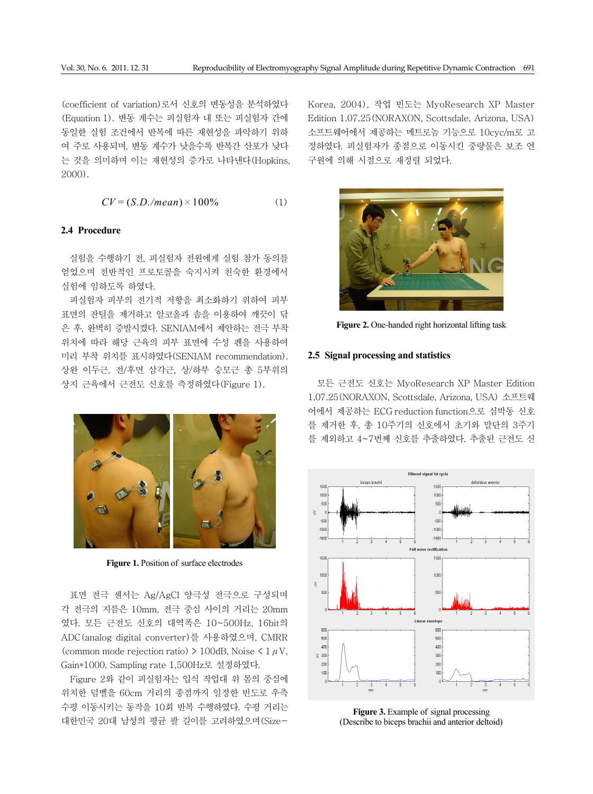(coefficient of variation)로서 신호의 변동성을 분석하였다 (Equation 1). 변동 계수는 피실험자 내 또는 피실험자 간에 동일한 실험 조건에서 반복에 따른 재현성을 파악하기 위하 여 주로 사용되며, 변동 계수가 낮을수록 반복간 산포가 낮다 는 것을 의미하며 이는 재현성의 증가로 나타낸다(Hopkins, 2000).

$$
CV = (S.D./mean) \times 100\% \tag{1}
$$

### **2.4 Procedure**

실험을 수행하기 전, 피실험자 전원에게 실험 참가 동의를 얻었으며 전반적인 프로토콜을 숙지시켜 친숙한 환경에서 실험에 임하도록 하였다.

피실험자 피부의 전기적 저항을 최소화하기 위하여 피부 표면의 잔털을 제거하고 알코올과 솜을 이용하여 깨끗이 닦 은 후, 완벽히 증발시켰다. SENIAM에서 제안하는 전극 부착 위치에 따라 해당 근육의 피부 표면에 수성 펜을 사용하여 미리 부착 위치를 표시하였다(SENIAM recommendation). 상완 이두근, 전/후면 삼각근, 상/하부 승모근 총 5부위의 상지 근육에서 근전도 신호를 측정하였다(Figure 1).



**Figure 1.** Position of surface electrodes

표면 전극 센서는 Ag/AgCl 양극성 전극으로 구성되며 각 전극의 지름은 10mm, 전극 중심 사이의 거리는 20mm 였다. 모든 근전도 신호의 대역폭은 10~500Hz, 16bit의 ADC(analog digital converter)를 사용하였으며, CMRR (common mode rejection ratio)  $> 100$ dB, Noise  $< 1 \mu V$ , Gain\*1000, Sampling rate 1,500Hz로 설정하였다.

Figure 2와 같이 피실험자는 입식 작업대 위 몸의 중심에 위치한 덤벨을 60cm 거리의 종점까지 일정한 빈도로 우측 수평 이동시키는 동작을 10회 반복 수행하였다. 수평 거리는 대한민국 20대 남성의 평균 팔 길이를 고려하였으며(SizeKorea, 2004), 작업 빈도는 MyoResearch XP Master Edition 1.07.25(NORAXON, Scottsdale, Arizona, USA) 소프트웨어에서 제공하는 메트로놈 기능으로 10cyc/m로 고 정하였다. 피실험자가 종점으로 이동시킨 중량물은 보조 연 구원에 의해 시점으로 재정렬 되었다.



**Figure 2.** One-handed right horizontal lifting task

#### **2.5 Signal processing and statistics**

모든 근전도 신호는 MyoResearch XP Master Edition 1.07.25(NORAXON, Scottsdale, Arizona, USA) 소프트웨 어에서 제공하는 ECG reduction function으로 심박동 신호 를 제거한 후, 총 10주기의 신호에서 초기와 말단의 3주기 를 제외하고 4~7번째 신호를 추출하였다. 추출된 근전도 신



**Figure 3.** Example of signal processing (Describe to biceps brachii and anterior deltoid)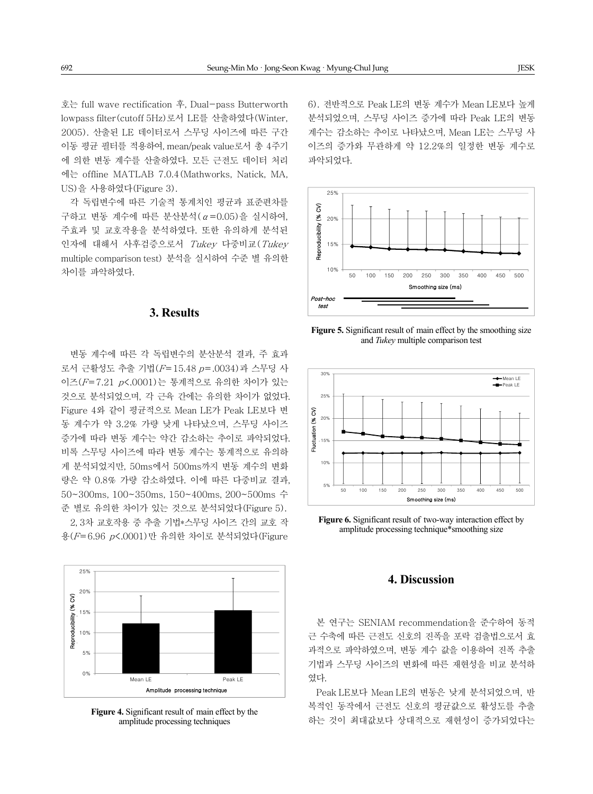호는 full wave rectification 후, Dual-pass Butterworth lowpass filter(cutoff 5Hz)로서 LE를 산출하였다(Winter, 2005). 산출된 LE 데이터로서 스무딩 사이즈에 따른 구간 이동 평균 필터를 적용하여, mean/peak value로서 총 4주기 에 의한 변동 계수를 산출하였다. 모든 근전도 데이터 처리 에는 offline MATLAB 7.0.4(Mathworks, Natick, MA, US)을 사용하였다(Figure 3).

각 독립변수에 따른 기술적 통계치인 평균과 표준편차를 구하고 변동 계수에 따른 분산분석(α=0.05)을 실시하여, 주효과 및 교호작용을 분석하였다. 또한 유의하게 분석된 인자에 대해서 사후검증으로서 Tukey 다중비교(Tukey multiple comparison test) 분석을 실시하여 수준 별 유의한 차이를 파악하였다.

## **3. Results**

변동 계수에 따른 각 독립변수의 분산분석 결과, 주 효과 로서 근활성도 추출 기법(F=15.48 p=.0034)과 스무딩 사 이즈(F=7.21 p<.0001)는 통계적으로 유의한 차이가 있는 것으로 분석되었으며, 각 근육 간에는 유의한 차이가 없었다. Figure 4와 같이 평균적으로 Mean LE가 Peak LE보다 변 동 계수가 약 3.2% 가량 낮게 나타났으며, 스무딩 사이즈 증가에 따라 변동 계수는 약간 감소하는 추이로 파악되었다. 비록 스무딩 사이즈에 따라 변동 계수는 통계적으로 유의하 게 분석되었지만, 50ms에서 500ms까지 변동 계수의 변화 량은 약 0.8% 가량 감소하였다. 이에 따른 다중비교 결과, 50~300ms, 100~350ms, 150~400ms, 200~500ms 수 준 별로 유의한 차이가 있는 것으로 분석되었다(Figure 5). 2, 3차 교호작용 중 추출 기법\*스무딩 사이즈 간의 교호 작 용(F=6.96 p<.0001)만 유의한 차이로 분석되었다(Figure

25% 20% Reproducibility (% CV) Reproducibility (% CV) Reproducibility (% CV) 15% 10% 5% 0% Mean LE Peak LE Amplitude processing technique Amplitude processing technique

**Figure 4.** Significant result of main effect by the amplitude processing techniques

6). 전반적으로 Peak LE의 변동 계수가 Mean LE보다 높게 분석되었으며, 스무딩 사이즈 증가에 따라 Peak LE의 변동 계수는 감소하는 추이로 나타났으며, Mean LE는 스무딩 사 이즈의 증가와 무관하게 약 12.2%의 일정한 변동 계수로 파악되었다.



**Figure 5.** Significant result of main effect by the smoothing size and *Tukey* multiple comparison test



**Figure 6.** Significant result of two-way interaction effect by amplitude processing technique\*smoothing size

### **4. Discussion**

본 연구는 SENIAM recommendation을 준수하여 동적 근 수축에 따른 근전도 신호의 진폭을 포락 검출법으로서 효 과적으로 파악하였으며, 변동 계수 값을 이용하여 진폭 추출 기법과 스무딩 사이즈의 변화에 따른 재현성을 비교 분석하 였다.

Peak LE보다 Mean LE의 변동은 낮게 분석되었으며, 반 복적인 동작에서 근전도 신호의 평균값으로 활성도를 추출 하는 것이 최대값보다 상대적으로 재현성이 증가되었다는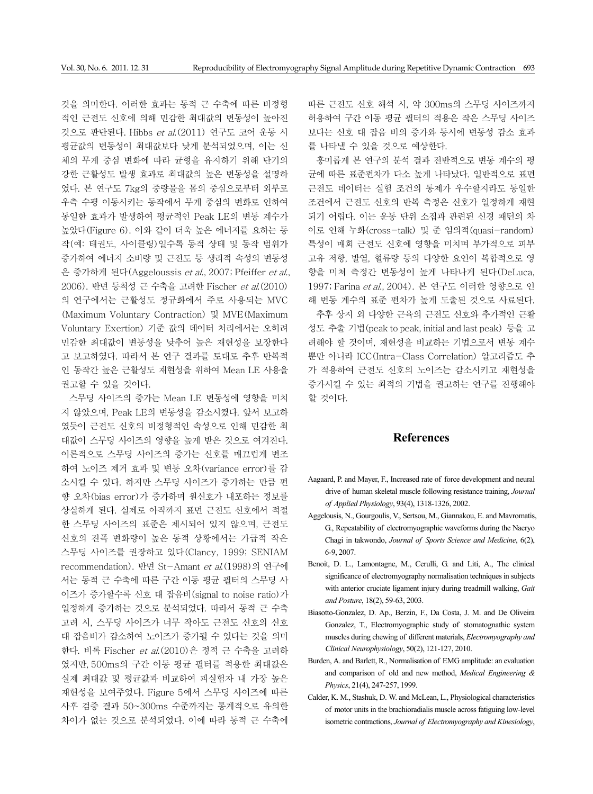것을 의미한다. 이러한 효과는 동적 근 수축에 따른 비정형 적인 근전도 신호에 의해 민감한 최대값의 변동성이 높아진 것으로 판단된다. Hibbs et al.(2011) 연구도 코어 운동 시 평균값의 변동성이 최대값보다 낮게 분석되었으며, 이는 신 체의 무게 중심 변화에 따라 균형을 유지하기 위해 단기의 강한 근활성도 발생 효과로 최대값의 높은 변동성을 설명하 였다. 본 연구도 7kg의 중량물을 몸의 중심으로부터 외부로 우측 수평 이동시키는 동작에서 무게 중심의 변화로 인하여 동일한 효과가 발생하여 평균적인 Peak LE의 변동 계수가 높았다(Figure 6). 이와 같이 더욱 높은 에너지를 요하는 동 작(예: 태권도, 사이클링)일수록 동적 상태 및 동작 범위가 증가하여 에너지 소비량 및 근전도 등 생리적 속성의 변동성 은 증가하게 된다(Aggeloussis et al., 2007; Pfeiffer et al., 2006). 반면 등척성 근 수축을 고려한 Fischer et al.(2010) 의 연구에서는 근활성도 정규화에서 주로 사용되는 MVC (Maximum Voluntary Contraction) 및 MVE(Maximum Voluntary Exertion) 기준 값의 데이터 처리에서는 오히려 민감한 최대값이 변동성을 낮추어 높은 재현성을 보장한다 고 보고하였다. 따라서 본 연구 결과를 토대로 추후 반복적 인 동작간 높은 근활성도 재현성을 위하여 Mean LE 사용을 권고할 수 있을 것이다.

스무딩 사이즈의 증가는 Mean LE 변동성에 영향을 미치 지 않았으며, Peak LE의 변동성을 감소시켰다. 앞서 보고하 였듯이 근전도 신호의 비정형적인 속성으로 인해 민감한 최 대값이 스무딩 사이즈의 영향을 높게 받은 것으로 여겨진다. 이론적으로 스무딩 사이즈의 증가는 신호를 매끄럽게 변조 하여 노이즈 제거 효과 및 변동 오차(variance error)를 감 소시킬 수 있다. 하지만 스무딩 사이즈가 증가하는 만큼 편 향 오차(bias error)가 증가하며 원신호가 내포하는 정보를 상실하게 된다. 실제로 아직까지 표면 근전도 신호에서 적절 한 스무딩 사이즈의 표준은 제시되어 있지 않으며, 근전도 신호의 진폭 변화량이 높은 동적 상황에서는 가급적 작은 스무딩 사이즈를 권장하고 있다(Clancy, 1999; SENIAM recommendation). 반면 St-Amant et al.(1998)의 연구에 서는 동적 근 수축에 따른 구간 이동 평균 필터의 스무딩 사 이즈가 증가할수록 신호 대 잡음비(signal to noise ratio)가 일정하게 증가하는 것으로 분석되었다. 따라서 동적 근 수축 고려 시, 스무딩 사이즈가 너무 작아도 근전도 신호의 신호 대 잡음비가 감소하여 노이즈가 증가될 수 있다는 것을 의미 한다. 비록 Fischer et al.(2010)은 정적 근 수축을 고려하 였지만, 500ms의 구간 이동 평균 필터를 적용한 최대값은 실제 최대값 및 평균값과 비교하여 피실험자 내 가장 높은 재현성을 보여주었다. Figure 5에서 스무딩 사이즈에 따른 사후 검증 결과 50~300ms 수준까지는 통계적으로 유의한 차이가 없는 것으로 분석되었다. 이에 따라 동적 근 수축에

따른 근전도 신호 해석 시, 약 300ms의 스무딩 사이즈까지 허용하여 구간 이동 평균 필터의 적용은 작은 스무딩 사이즈 보다는 신호 대 잡음 비의 증가와 동시에 변동성 감소 효과 를 나타낼 수 있을 것으로 예상한다.

흥미롭게 본 연구의 분석 결과 전반적으로 변동 계수의 평 균에 따른 표준편차가 다소 높게 나타났다. 일반적으로 표면 근전도 데이터는 실험 조건의 통제가 우수할지라도 동일한 조건에서 근전도 신호의 반복 측정은 신호가 일정하게 재현 되기 어렵다. 이는 운동 단위 소집과 관련된 신경 패턴의 차 이로 인해 누화(cross-talk) 및 준 임의적(quasi-random) 특성이 매회 근전도 신호에 영향을 미치며 부가적으로 피부 고유 저항, 발열, 혈류량 등의 다양한 요인이 복합적으로 영 향을 미쳐 측정간 변동성이 높게 나타나게 된다(DeLuca, 1997; Farina et al., 2004). 본 연구도 이러한 영향으로 인 해 변동 계수의 표준 편차가 높게 도출된 것으로 사료된다.

추후 상지 외 다양한 근육의 근전도 신호와 추가적인 근활 성도 추출 기법(peak to peak, initial and last peak) 등을 고 려해야 할 것이며, 재현성을 비교하는 기법으로서 변동 계수 뿐만 아니라 ICC(Intra-Class Correlation) 알고리즘도 추 가 적용하여 근전도 신호의 노이즈는 감소시키고 재현성을 증가시킬 수 있는 최적의 기법을 권고하는 연구를 진행해야 할 것이다.

#### **References**

- Aagaard, P. and Mayer, F., Increased rate of force development and neural drive of human skeletal muscle following resistance training, *Journal of Applied Physiology*, 93(4), 1318-1326, 2002.
- Aggelousis, N., Gourgoulis, V., Sertsou, M., Giannakou, E. and Mavromatis, G., Repeatability of electromyographic waveforms during the Naeryo Chagi in takwondo, *Journal of Sports Science and Medicine*, 6(2), 6-9, 2007.
- Benoit, D. L., Lamontagne, M., Cerulli, G. and Liti, A., The clinical significance of electromyography normalisation techniques in subjects with anterior cruciate ligament injury during treadmill walking, *Gait and Posture*, 18(2), 59-63, 2003.
- Biasotto-Gonzalez, D. Ap., Berzin, F., Da Costa, J. M. and De Oliveira Gonzalez, T., Electromyographic study of stomatognathic system muscles during chewing of different materials, *Electromyography and Clinical Neurophysiology*, 50(2), 121-127, 2010.
- Burden, A. and Barlett, R., Normalisation of EMG amplitude: an evaluation and comparison of old and new method, *Medical Engineering & Physics*, 21(4), 247-257, 1999.
- Calder, K. M., Stashuk, D. W. and McLean, L., Physiological characteristics of motor units in the brachioradialis muscle across fatiguing low-level isometric contractions, *Journal of Electromyography and Kinesiology*,